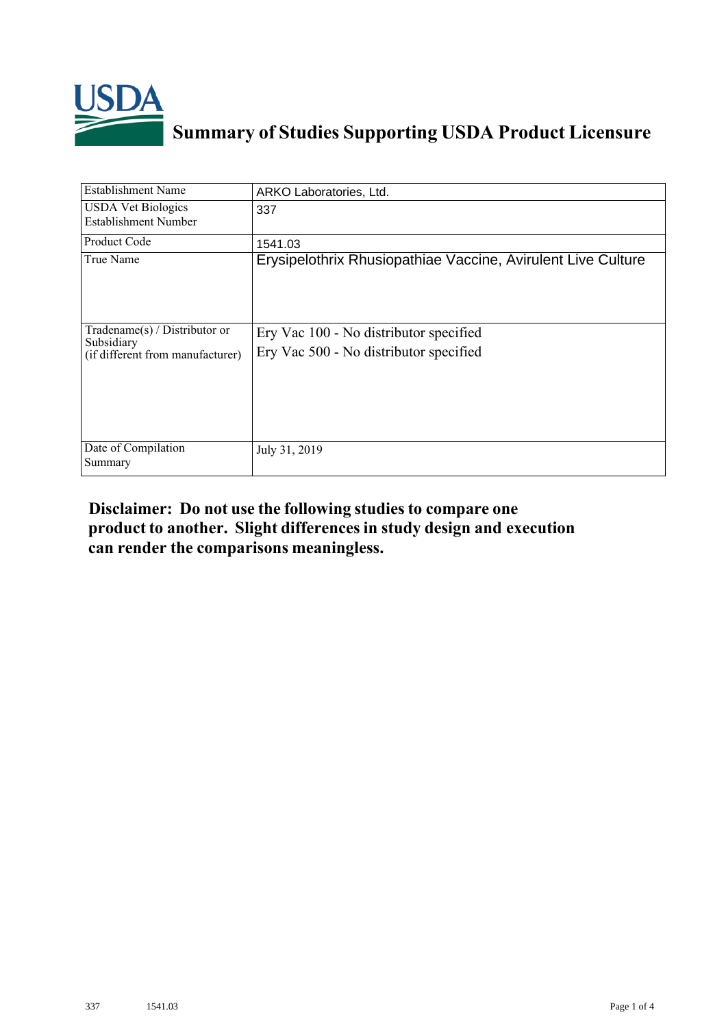

## **Summary of Studies Supporting USDA Product Licensure**

| <b>Establishment Name</b>                                                          | ARKO Laboratories, Ltd.                                                          |
|------------------------------------------------------------------------------------|----------------------------------------------------------------------------------|
| <b>USDA Vet Biologics</b><br>Establishment Number                                  | 337                                                                              |
| <b>Product Code</b>                                                                | 1541.03                                                                          |
| True Name                                                                          | Erysipelothrix Rhusiopathiae Vaccine, Avirulent Live Culture                     |
| Tradename $(s)$ / Distributor or<br>Subsidiary<br>(if different from manufacturer) | Ery Vac 100 - No distributor specified<br>Ery Vac 500 - No distributor specified |
| Date of Compilation<br>Summary                                                     | July 31, 2019                                                                    |

## **Disclaimer: Do not use the following studiesto compare one product to another. Slight differencesin study design and execution can render the comparisons meaningless.**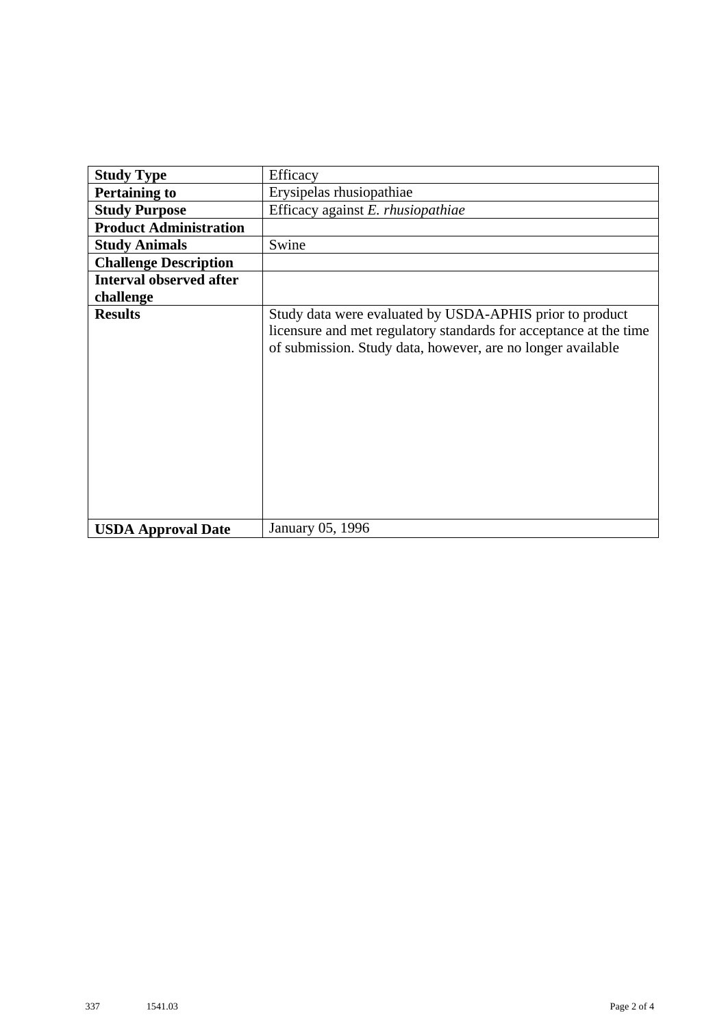| <b>Study Type</b>              | Efficacy                                                                                                                                                                                     |
|--------------------------------|----------------------------------------------------------------------------------------------------------------------------------------------------------------------------------------------|
|                                |                                                                                                                                                                                              |
| <b>Pertaining to</b>           | Erysipelas rhusiopathiae                                                                                                                                                                     |
| <b>Study Purpose</b>           | Efficacy against E. rhusiopathiae                                                                                                                                                            |
| <b>Product Administration</b>  |                                                                                                                                                                                              |
| <b>Study Animals</b>           | Swine                                                                                                                                                                                        |
| <b>Challenge Description</b>   |                                                                                                                                                                                              |
| <b>Interval observed after</b> |                                                                                                                                                                                              |
| challenge                      |                                                                                                                                                                                              |
| <b>Results</b>                 | Study data were evaluated by USDA-APHIS prior to product<br>licensure and met regulatory standards for acceptance at the time<br>of submission. Study data, however, are no longer available |
| <b>USDA Approval Date</b>      | January 05, 1996                                                                                                                                                                             |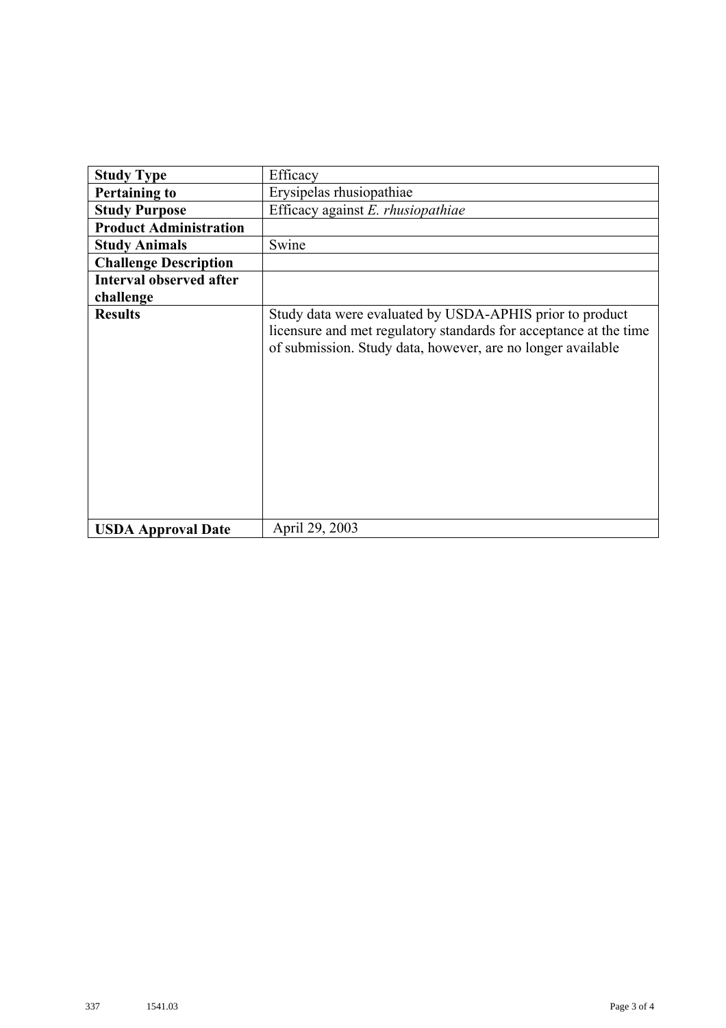| <b>Study Type</b>              | Efficacy                                                                                                                                                                                     |
|--------------------------------|----------------------------------------------------------------------------------------------------------------------------------------------------------------------------------------------|
| <b>Pertaining to</b>           | Erysipelas rhusiopathiae                                                                                                                                                                     |
| <b>Study Purpose</b>           | Efficacy against E. rhusiopathiae                                                                                                                                                            |
| <b>Product Administration</b>  |                                                                                                                                                                                              |
| <b>Study Animals</b>           | Swine                                                                                                                                                                                        |
| <b>Challenge Description</b>   |                                                                                                                                                                                              |
| <b>Interval observed after</b> |                                                                                                                                                                                              |
| challenge                      |                                                                                                                                                                                              |
| <b>Results</b>                 | Study data were evaluated by USDA-APHIS prior to product<br>licensure and met regulatory standards for acceptance at the time<br>of submission. Study data, however, are no longer available |
| <b>USDA Approval Date</b>      | April 29, 2003                                                                                                                                                                               |